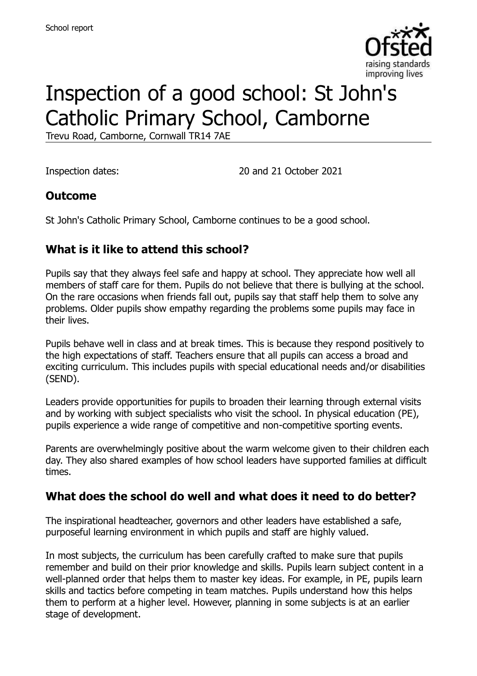

# Inspection of a good school: St John's Catholic Primary School, Camborne

Trevu Road, Camborne, Cornwall TR14 7AE

Inspection dates: 20 and 21 October 2021

#### **Outcome**

St John's Catholic Primary School, Camborne continues to be a good school.

### **What is it like to attend this school?**

Pupils say that they always feel safe and happy at school. They appreciate how well all members of staff care for them. Pupils do not believe that there is bullying at the school. On the rare occasions when friends fall out, pupils say that staff help them to solve any problems. Older pupils show empathy regarding the problems some pupils may face in their lives.

Pupils behave well in class and at break times. This is because they respond positively to the high expectations of staff. Teachers ensure that all pupils can access a broad and exciting curriculum. This includes pupils with special educational needs and/or disabilities (SEND).

Leaders provide opportunities for pupils to broaden their learning through external visits and by working with subject specialists who visit the school. In physical education (PE), pupils experience a wide range of competitive and non-competitive sporting events.

Parents are overwhelmingly positive about the warm welcome given to their children each day. They also shared examples of how school leaders have supported families at difficult times.

#### **What does the school do well and what does it need to do better?**

The inspirational headteacher, governors and other leaders have established a safe, purposeful learning environment in which pupils and staff are highly valued.

In most subjects, the curriculum has been carefully crafted to make sure that pupils remember and build on their prior knowledge and skills. Pupils learn subject content in a well-planned order that helps them to master key ideas. For example, in PE, pupils learn skills and tactics before competing in team matches. Pupils understand how this helps them to perform at a higher level. However, planning in some subjects is at an earlier stage of development.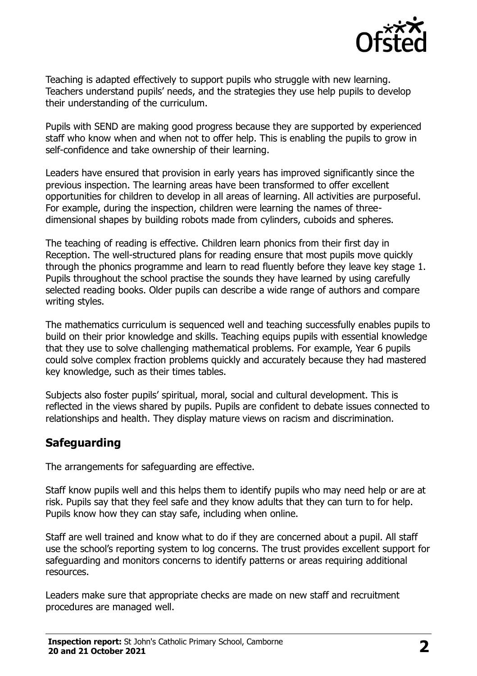

Teaching is adapted effectively to support pupils who struggle with new learning. Teachers understand pupils' needs, and the strategies they use help pupils to develop their understanding of the curriculum.

Pupils with SEND are making good progress because they are supported by experienced staff who know when and when not to offer help. This is enabling the pupils to grow in self-confidence and take ownership of their learning.

Leaders have ensured that provision in early years has improved significantly since the previous inspection. The learning areas have been transformed to offer excellent opportunities for children to develop in all areas of learning. All activities are purposeful. For example, during the inspection, children were learning the names of threedimensional shapes by building robots made from cylinders, cuboids and spheres.

The teaching of reading is effective. Children learn phonics from their first day in Reception. The well-structured plans for reading ensure that most pupils move quickly through the phonics programme and learn to read fluently before they leave key stage 1. Pupils throughout the school practise the sounds they have learned by using carefully selected reading books. Older pupils can describe a wide range of authors and compare writing styles.

The mathematics curriculum is sequenced well and teaching successfully enables pupils to build on their prior knowledge and skills. Teaching equips pupils with essential knowledge that they use to solve challenging mathematical problems. For example, Year 6 pupils could solve complex fraction problems quickly and accurately because they had mastered key knowledge, such as their times tables.

Subjects also foster pupils' spiritual, moral, social and cultural development. This is reflected in the views shared by pupils. Pupils are confident to debate issues connected to relationships and health. They display mature views on racism and discrimination.

#### **Safeguarding**

The arrangements for safeguarding are effective.

Staff know pupils well and this helps them to identify pupils who may need help or are at risk. Pupils say that they feel safe and they know adults that they can turn to for help. Pupils know how they can stay safe, including when online.

Staff are well trained and know what to do if they are concerned about a pupil. All staff use the school's reporting system to log concerns. The trust provides excellent support for safeguarding and monitors concerns to identify patterns or areas requiring additional resources.

Leaders make sure that appropriate checks are made on new staff and recruitment procedures are managed well.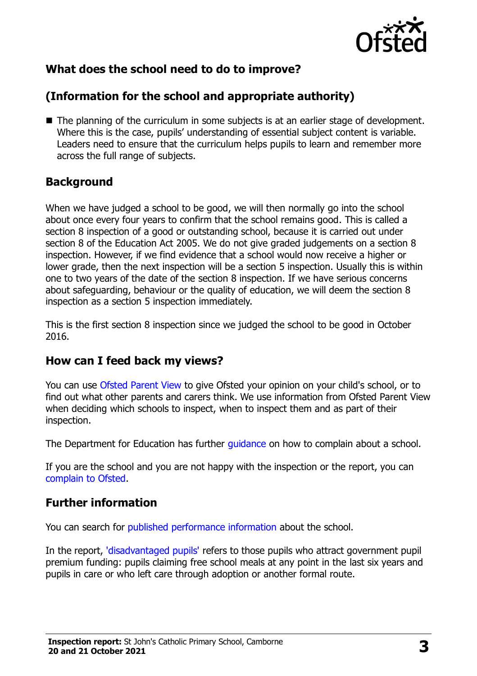

# **What does the school need to do to improve?**

# **(Information for the school and appropriate authority)**

■ The planning of the curriculum in some subjects is at an earlier stage of development. Where this is the case, pupils' understanding of essential subject content is variable. Leaders need to ensure that the curriculum helps pupils to learn and remember more across the full range of subjects.

#### **Background**

When we have judged a school to be good, we will then normally go into the school about once every four years to confirm that the school remains good. This is called a section 8 inspection of a good or outstanding school, because it is carried out under section 8 of the Education Act 2005. We do not give graded judgements on a section 8 inspection. However, if we find evidence that a school would now receive a higher or lower grade, then the next inspection will be a section 5 inspection. Usually this is within one to two years of the date of the section 8 inspection. If we have serious concerns about safeguarding, behaviour or the quality of education, we will deem the section 8 inspection as a section 5 inspection immediately.

This is the first section 8 inspection since we judged the school to be good in October 2016.

#### **How can I feed back my views?**

You can use [Ofsted Parent View](https://parentview.ofsted.gov.uk/) to give Ofsted your opinion on your child's school, or to find out what other parents and carers think. We use information from Ofsted Parent View when deciding which schools to inspect, when to inspect them and as part of their inspection.

The Department for Education has further [guidance](http://www.gov.uk/complain-about-school) on how to complain about a school.

If you are the school and you are not happy with the inspection or the report, you can [complain to Ofsted.](https://www.gov.uk/complain-ofsted-report)

# **Further information**

You can search for [published performance information](http://www.compare-school-performance.service.gov.uk/) about the school.

In the report, ['disadvantaged pupils'](http://www.gov.uk/guidance/pupil-premium-information-for-schools-and-alternative-provision-settings) refers to those pupils who attract government pupil premium funding: pupils claiming free school meals at any point in the last six years and pupils in care or who left care through adoption or another formal route.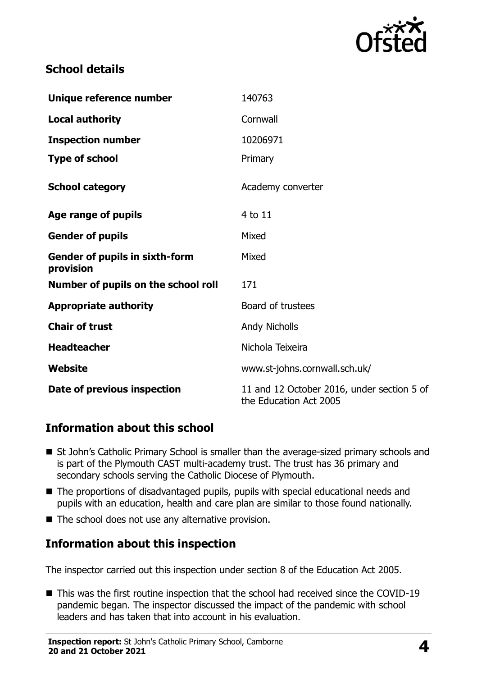

#### **School details**

| Unique reference number                            | 140763                                                               |
|----------------------------------------------------|----------------------------------------------------------------------|
| <b>Local authority</b>                             | Cornwall                                                             |
| <b>Inspection number</b>                           | 10206971                                                             |
| <b>Type of school</b>                              | Primary                                                              |
| <b>School category</b>                             | Academy converter                                                    |
| Age range of pupils                                | 4 to 11                                                              |
| <b>Gender of pupils</b>                            | Mixed                                                                |
| <b>Gender of pupils in sixth-form</b><br>provision | Mixed                                                                |
| Number of pupils on the school roll                | 171                                                                  |
| <b>Appropriate authority</b>                       | Board of trustees                                                    |
| <b>Chair of trust</b>                              | <b>Andy Nicholls</b>                                                 |
| <b>Headteacher</b>                                 | Nichola Teixeira                                                     |
| Website                                            | www.st-johns.cornwall.sch.uk/                                        |
| Date of previous inspection                        | 11 and 12 October 2016, under section 5 of<br>the Education Act 2005 |

#### **Information about this school**

- St John's Catholic Primary School is smaller than the average-sized primary schools and is part of the Plymouth CAST multi-academy trust. The trust has 36 primary and secondary schools serving the Catholic Diocese of Plymouth.
- The proportions of disadvantaged pupils, pupils with special educational needs and pupils with an education, health and care plan are similar to those found nationally.
- The school does not use any alternative provision.

# **Information about this inspection**

The inspector carried out this inspection under section 8 of the Education Act 2005.

■ This was the first routine inspection that the school had received since the COVID-19 pandemic began. The inspector discussed the impact of the pandemic with school leaders and has taken that into account in his evaluation.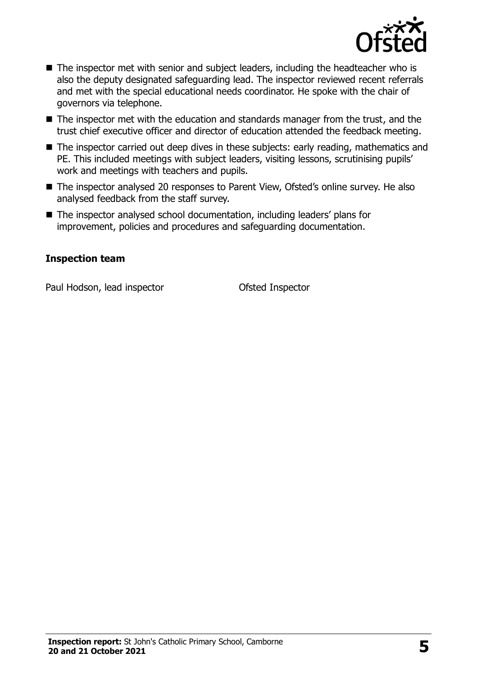

- The inspector met with senior and subject leaders, including the headteacher who is also the deputy designated safeguarding lead. The inspector reviewed recent referrals and met with the special educational needs coordinator. He spoke with the chair of governors via telephone.
- The inspector met with the education and standards manager from the trust, and the trust chief executive officer and director of education attended the feedback meeting.
- The inspector carried out deep dives in these subjects: early reading, mathematics and PE. This included meetings with subject leaders, visiting lessons, scrutinising pupils' work and meetings with teachers and pupils.
- The inspector analysed 20 responses to Parent View, Ofsted's online survey. He also analysed feedback from the staff survey.
- The inspector analysed school documentation, including leaders' plans for improvement, policies and procedures and safeguarding documentation.

#### **Inspection team**

Paul Hodson, lead inspector **Conservative Conservation** Ofsted Inspector